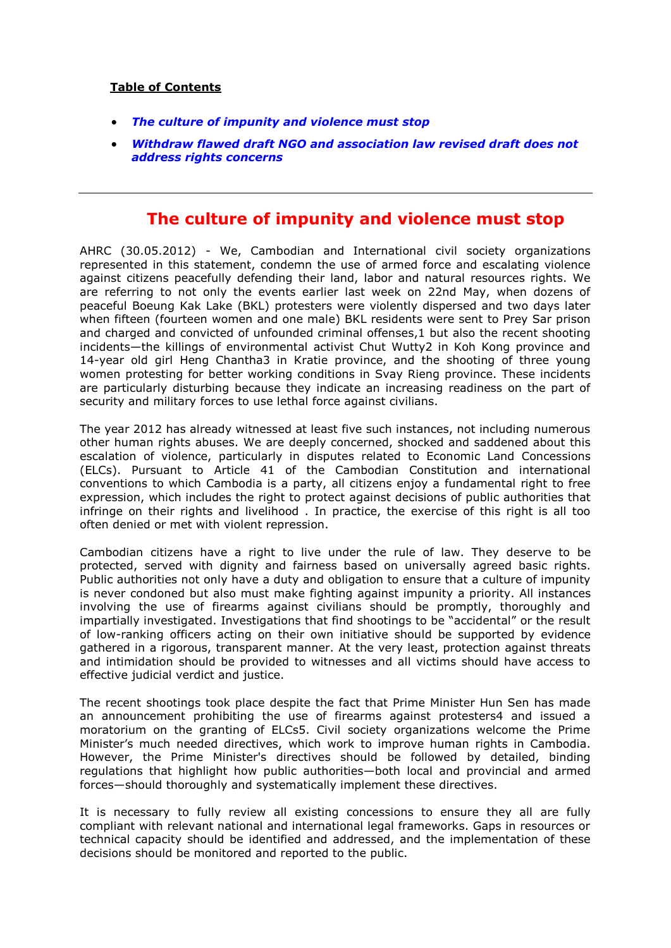### **Table of Contents**

- *[The culture of impunity and violence must stop](#page-0-0)*
- *[Withdraw flawed draft NGO and association law revised draft does not](#page-3-0)  [address rights concerns](#page-3-0)*

## <span id="page-0-0"></span>**The culture of impunity and violence must stop**

AHRC (30.05.2012) - We, Cambodian and International civil society organizations represented in this statement, condemn the use of armed force and escalating violence against citizens peacefully defending their land, labor and natural resources rights. We are referring to not only the events earlier last week on 22nd May, when dozens of peaceful Boeung Kak Lake (BKL) protesters were violently dispersed and two days later when fifteen (fourteen women and one male) BKL residents were sent to Prey Sar prison and charged and convicted of unfounded criminal offenses,1 but also the recent shooting incidents—the killings of environmental activist Chut Wutty2 in Koh Kong province and 14-year old girl Heng Chantha3 in Kratie province, and the shooting of three young women protesting for better working conditions in Svay Rieng province. These incidents are particularly disturbing because they indicate an increasing readiness on the part of security and military forces to use lethal force against civilians.

The year 2012 has already witnessed at least five such instances, not including numerous other human rights abuses. We are deeply concerned, shocked and saddened about this escalation of violence, particularly in disputes related to Economic Land Concessions (ELCs). Pursuant to Article 41 of the Cambodian Constitution and international conventions to which Cambodia is a party, all citizens enjoy a fundamental right to free expression, which includes the right to protect against decisions of public authorities that infringe on their rights and livelihood . In practice, the exercise of this right is all too often denied or met with violent repression.

Cambodian citizens have a right to live under the rule of law. They deserve to be protected, served with dignity and fairness based on universally agreed basic rights. Public authorities not only have a duty and obligation to ensure that a culture of impunity is never condoned but also must make fighting against impunity a priority. All instances involving the use of firearms against civilians should be promptly, thoroughly and impartially investigated. Investigations that find shootings to be "accidental" or the result of low-ranking officers acting on their own initiative should be supported by evidence gathered in a rigorous, transparent manner. At the very least, protection against threats and intimidation should be provided to witnesses and all victims should have access to effective judicial verdict and justice.

The recent shootings took place despite the fact that Prime Minister Hun Sen has made an announcement prohibiting the use of firearms against protesters4 and issued a moratorium on the granting of ELCs5. Civil society organizations welcome the Prime Minister's much needed directives, which work to improve human rights in Cambodia. However, the Prime Minister's directives should be followed by detailed, binding regulations that highlight how public authorities—both local and provincial and armed forces—should thoroughly and systematically implement these directives.

It is necessary to fully review all existing concessions to ensure they all are fully compliant with relevant national and international legal frameworks. Gaps in resources or technical capacity should be identified and addressed, and the implementation of these decisions should be monitored and reported to the public.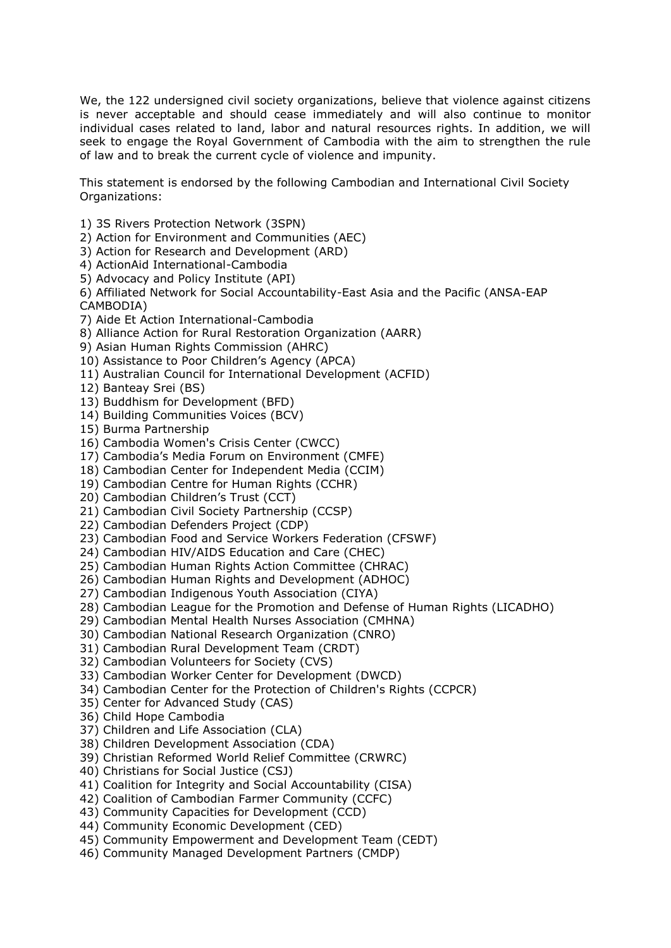We, the 122 undersigned civil society organizations, believe that violence against citizens is never acceptable and should cease immediately and will also continue to monitor individual cases related to land, labor and natural resources rights. In addition, we will seek to engage the Royal Government of Cambodia with the aim to strengthen the rule of law and to break the current cycle of violence and impunity.

This statement is endorsed by the following Cambodian and International Civil Society Organizations:

- 1) 3S Rivers Protection Network (3SPN)
- 2) Action for Environment and Communities (AEC)
- 3) Action for Research and Development (ARD)
- 4) ActionAid International-Cambodia
- 5) Advocacy and Policy Institute (API)
- 6) Affiliated Network for Social Accountability-East Asia and the Pacific (ANSA-EAP CAMBODIA)
- 7) Aide Et Action International-Cambodia
- 8) Alliance Action for Rural Restoration Organization (AARR)
- 9) Asian Human Rights Commission (AHRC)
- 10) Assistance to Poor Children's Agency (APCA)
- 11) Australian Council for International Development (ACFID)
- 12) Banteay Srei (BS)
- 13) Buddhism for Development (BFD)
- 14) Building Communities Voices (BCV)
- 15) Burma Partnership
- 16) Cambodia Women's Crisis Center (CWCC)
- 17) Cambodia's Media Forum on Environment (CMFE)
- 18) Cambodian Center for Independent Media (CCIM)
- 19) Cambodian Centre for Human Rights (CCHR)
- 20) Cambodian Children's Trust (CCT)
- 21) Cambodian Civil Society Partnership (CCSP)
- 22) Cambodian Defenders Project (CDP)
- 23) Cambodian Food and Service Workers Federation (CFSWF)
- 24) Cambodian HIV/AIDS Education and Care (CHEC)
- 25) Cambodian Human Rights Action Committee (CHRAC)
- 26) Cambodian Human Rights and Development (ADHOC)
- 27) Cambodian Indigenous Youth Association (CIYA)
- 28) Cambodian League for the Promotion and Defense of Human Rights (LICADHO)
- 29) Cambodian Mental Health Nurses Association (CMHNA)
- 30) Cambodian National Research Organization (CNRO)
- 31) Cambodian Rural Development Team (CRDT)
- 32) Cambodian Volunteers for Society (CVS)
- 33) Cambodian Worker Center for Development (DWCD)
- 34) Cambodian Center for the Protection of Children's Rights (CCPCR)
- 35) Center for Advanced Study (CAS)
- 36) Child Hope Cambodia
- 37) Children and Life Association (CLA)
- 38) Children Development Association (CDA)
- 39) Christian Reformed World Relief Committee (CRWRC)
- 40) Christians for Social Justice (CSJ)
- 41) Coalition for Integrity and Social Accountability (CISA)
- 42) Coalition of Cambodian Farmer Community (CCFC)
- 43) Community Capacities for Development (CCD)
- 44) Community Economic Development (CED)
- 45) Community Empowerment and Development Team (CEDT)
- 46) Community Managed Development Partners (CMDP)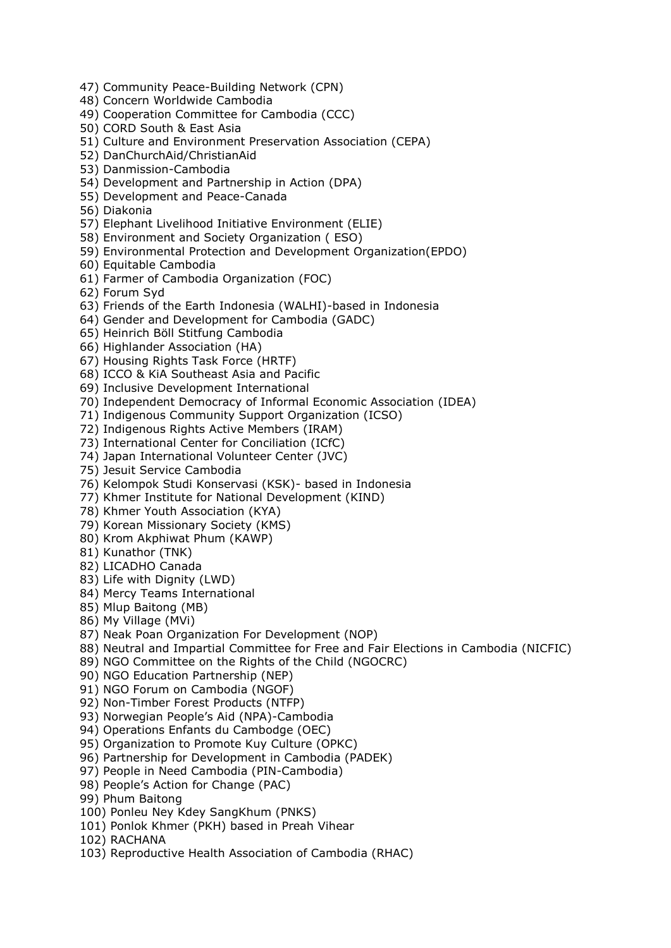- 47) Community Peace-Building Network (CPN)
- 48) Concern Worldwide Cambodia
- 49) Cooperation Committee for Cambodia (CCC)
- 50) CORD South & East Asia
- 51) Culture and Environment Preservation Association (CEPA)
- 52) DanChurchAid/ChristianAid
- 53) Danmission-Cambodia
- 54) Development and Partnership in Action (DPA)
- 55) Development and Peace-Canada
- 56) Diakonia
- 57) Elephant Livelihood Initiative Environment (ELIE)
- 58) Environment and Society Organization ( ESO)
- 59) Environmental Protection and Development Organization(EPDO)
- 60) Equitable Cambodia
- 61) Farmer of Cambodia Organization (FOC)
- 62) Forum Syd
- 63) Friends of the Earth Indonesia (WALHI)-based in Indonesia
- 64) Gender and Development for Cambodia (GADC)
- 65) Heinrich Böll Stitfung Cambodia
- 66) Highlander Association (HA)
- 67) Housing Rights Task Force (HRTF)
- 68) ICCO & KiA Southeast Asia and Pacific
- 69) Inclusive Development International
- 70) Independent Democracy of Informal Economic Association (IDEA)
- 71) Indigenous Community Support Organization (ICSO)
- 72) Indigenous Rights Active Members (IRAM)
- 73) International Center for Conciliation (ICfC)
- 74) Japan International Volunteer Center (JVC)
- 75) Jesuit Service Cambodia
- 76) Kelompok Studi Konservasi (KSK)- based in Indonesia
- 77) Khmer Institute for National Development (KIND)
- 78) Khmer Youth Association (KYA)
- 79) Korean Missionary Society (KMS)
- 80) Krom Akphiwat Phum (KAWP)
- 81) Kunathor (TNK)
- 82) LICADHO Canada
- 83) Life with Dignity (LWD)
- 84) Mercy Teams International
- 85) Mlup Baitong (MB)
- 86) My Village (MVi)
- 87) Neak Poan Organization For Development (NOP)
- 88) Neutral and Impartial Committee for Free and Fair Elections in Cambodia (NICFIC)
- 89) NGO Committee on the Rights of the Child (NGOCRC)
- 90) NGO Education Partnership (NEP)
- 91) NGO Forum on Cambodia (NGOF)
- 92) Non-Timber Forest Products (NTFP)
- 93) Norwegian People's Aid (NPA)-Cambodia
- 94) Operations Enfants du Cambodge (OEC)
- 95) Organization to Promote Kuy Culture (OPKC)
- 96) Partnership for Development in Cambodia (PADEK)
- 97) People in Need Cambodia (PIN-Cambodia)
- 98) People's Action for Change (PAC)
- 99) Phum Baitong
- 100) Ponleu Ney Kdey SangKhum (PNKS)
- 101) Ponlok Khmer (PKH) based in Preah Vihear
- 102) RACHANA
- 103) Reproductive Health Association of Cambodia (RHAC)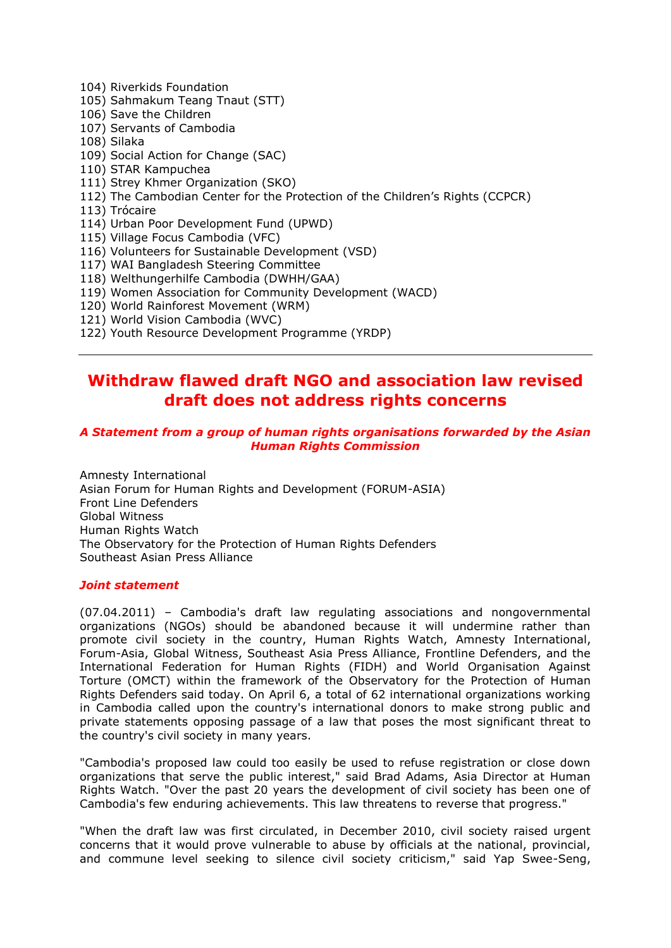- 104) Riverkids Foundation
- 105) Sahmakum Teang Tnaut (STT)
- 106) Save the Children
- 107) Servants of Cambodia
- 108) Silaka
- 109) Social Action for Change (SAC)
- 110) STAR Kampuchea
- 111) Strey Khmer Organization (SKO)
- 112) The Cambodian Center for the Protection of the Children's Rights (CCPCR)
- 113) Trócaire
- 114) Urban Poor Development Fund (UPWD)
- 115) Village Focus Cambodia (VFC)
- 116) Volunteers for Sustainable Development (VSD)
- 117) WAI Bangladesh Steering Committee
- 118) Welthungerhilfe Cambodia (DWHH/GAA)
- 119) Women Association for Community Development (WACD)
- 120) World Rainforest Movement (WRM)
- 121) World Vision Cambodia (WVC)
- 122) Youth Resource Development Programme (YRDP)

# <span id="page-3-0"></span>**Withdraw flawed draft NGO and association law revised draft does not address rights concerns**

#### *A Statement from a group of human rights organisations forwarded by the Asian Human Rights Commission*

Amnesty International Asian Forum for Human Rights and Development (FORUM-ASIA) Front Line Defenders Global Witness Human Rights Watch The Observatory for the Protection of Human Rights Defenders Southeast Asian Press Alliance

#### *Joint statement*

(07.04.2011) – Cambodia's draft law regulating associations and nongovernmental organizations (NGOs) should be abandoned because it will undermine rather than promote civil society in the country, Human Rights Watch, Amnesty International, Forum-Asia, Global Witness, Southeast Asia Press Alliance, Frontline Defenders, and the International Federation for Human Rights (FIDH) and World Organisation Against Torture (OMCT) within the framework of the Observatory for the Protection of Human Rights Defenders said today. On April 6, a total of 62 international organizations working in Cambodia called upon the country's international donors to make strong public and private statements opposing passage of a law that poses the most significant threat to the country's civil society in many years.

"Cambodia's proposed law could too easily be used to refuse registration or close down organizations that serve the public interest," said Brad Adams, Asia Director at Human Rights Watch. "Over the past 20 years the development of civil society has been one of Cambodia's few enduring achievements. This law threatens to reverse that progress."

"When the draft law was first circulated, in December 2010, civil society raised urgent concerns that it would prove vulnerable to abuse by officials at the national, provincial, and commune level seeking to silence civil society criticism," said Yap Swee-Seng,